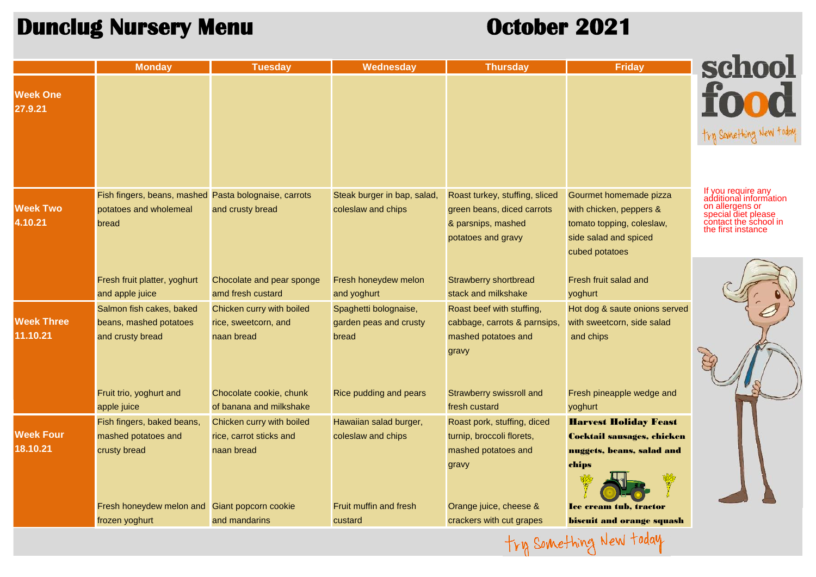## **Dunclug Nursery Menu October 2021**

|                               | <b>Monday</b>                                                                            | <b>Tuesday</b>                                                  | Wednesday                                                | <b>Thursday</b>                                                                                          | <b>Friday</b>                                                                                                             | school                                                                                                                                |
|-------------------------------|------------------------------------------------------------------------------------------|-----------------------------------------------------------------|----------------------------------------------------------|----------------------------------------------------------------------------------------------------------|---------------------------------------------------------------------------------------------------------------------------|---------------------------------------------------------------------------------------------------------------------------------------|
| <b>Week One</b><br>27.9.21    |                                                                                          |                                                                 |                                                          |                                                                                                          |                                                                                                                           | food                                                                                                                                  |
|                               |                                                                                          |                                                                 |                                                          |                                                                                                          |                                                                                                                           | try Something New today                                                                                                               |
|                               |                                                                                          |                                                                 |                                                          |                                                                                                          |                                                                                                                           |                                                                                                                                       |
| <b>Week Two</b><br>4.10.21    | Fish fingers, beans, mashed Pasta bolognaise, carrots<br>potatoes and wholemeal<br>bread | and crusty bread                                                | Steak burger in bap, salad,<br>coleslaw and chips        | Roast turkey, stuffing, sliced<br>green beans, diced carrots<br>& parsnips, mashed<br>potatoes and gravy | Gourmet homemade pizza<br>with chicken, peppers &<br>tomato topping, coleslaw,<br>side salad and spiced<br>cubed potatoes | If you require any<br>additional information<br>on allergens or<br>special diet please<br>contact the school in<br>the first instance |
|                               | Fresh fruit platter, yoghurt<br>and apple juice                                          | Chocolate and pear sponge<br>amd fresh custard                  | Fresh honeydew melon<br>and yoghurt                      | <b>Strawberry shortbread</b><br>stack and milkshake                                                      | Fresh fruit salad and<br>yoghurt                                                                                          |                                                                                                                                       |
| <b>Week Three</b><br>11.10.21 | Salmon fish cakes, baked<br>beans, mashed potatoes<br>and crusty bread                   | Chicken curry with boiled<br>rice, sweetcorn, and<br>naan bread | Spaghetti bolognaise,<br>garden peas and crusty<br>bread | Roast beef with stuffing,<br>cabbage, carrots & parnsips,<br>mashed potatoes and                         | Hot dog & saute onions served<br>with sweetcorn, side salad<br>and chips                                                  |                                                                                                                                       |
|                               | Fruit trio, yoghurt and                                                                  | Chocolate cookie, chunk                                         | Rice pudding and pears                                   | gravy<br><b>Strawberry swissroll and</b>                                                                 | Fresh pineapple wedge and                                                                                                 |                                                                                                                                       |
|                               | apple juice                                                                              | of banana and milkshake                                         |                                                          | fresh custard                                                                                            | yoghurt                                                                                                                   |                                                                                                                                       |
| <b>Week Four</b>              | Fish fingers, baked beans,<br>mashed potatoes and                                        | Chicken curry with boiled<br>rice, carrot sticks and            | Hawaiian salad burger,<br>coleslaw and chips             | Roast pork, stuffing, diced<br>turnip, broccoli florets,                                                 | <b>Harvest Holiday Feast</b><br><b>Cocktail sausages, chicken</b>                                                         |                                                                                                                                       |
| 18.10.21                      | crusty bread                                                                             | naan bread                                                      |                                                          | mashed potatoes and<br>gravy                                                                             | nuggets, beans, salad and<br>chips                                                                                        |                                                                                                                                       |
|                               | Fresh honeydew melon and Giant popcorn cookie                                            | and mandarins                                                   | <b>Fruit muffin and fresh</b>                            | Orange juice, cheese &<br>crackers with cut grapes                                                       | <b>Ice cream tub, tractor</b>                                                                                             |                                                                                                                                       |
|                               | frozen yoghurt                                                                           |                                                                 | custard                                                  |                                                                                                          | <b>biscuit and orange squash</b>                                                                                          |                                                                                                                                       |
| try Something New today       |                                                                                          |                                                                 |                                                          |                                                                                                          |                                                                                                                           |                                                                                                                                       |